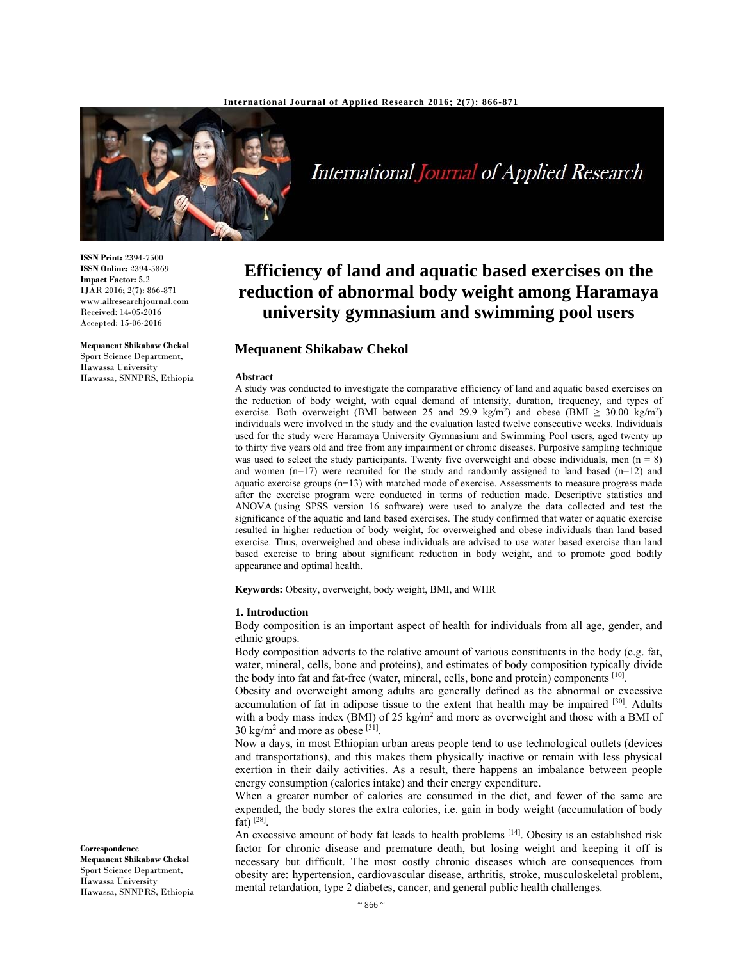

International Journal of Applied Research

**ISSN Print:** 2394-7500 **ISSN Online:** 2394-5869 **Impact Factor:** 5.2 IJAR 2016; 2(7): 866-871 www.allresearchjournal.com Received: 14-05-2016 Accepted: 15-06-2016

**Mequanent Shikabaw Chekol**  Sport Science Department, Hawassa University Hawassa, SNNPRS, Ethiopia

# **Efficiency of land and aquatic based exercises on the reduction of abnormal body weight among Haramaya university gymnasium and swimming pool users**

## **Mequanent Shikabaw Chekol**

#### **Abstract**

A study was conducted to investigate the comparative efficiency of land and aquatic based exercises on the reduction of body weight, with equal demand of intensity, duration, frequency, and types of exercise. Both overweight (BMI between 25 and 29.9 kg/m<sup>2</sup>) and obese (BMI  $\geq$  30.00 kg/m<sup>2</sup>) individuals were involved in the study and the evaluation lasted twelve consecutive weeks. Individuals used for the study were Haramaya University Gymnasium and Swimming Pool users, aged twenty up to thirty five years old and free from any impairment or chronic diseases. Purposive sampling technique was used to select the study participants. Twenty five overweight and obese individuals, men ( $n = 8$ ) and women (n=17) were recruited for the study and randomly assigned to land based (n=12) and aquatic exercise groups (n=13) with matched mode of exercise. Assessments to measure progress made after the exercise program were conducted in terms of reduction made. Descriptive statistics and ANOVA (using SPSS version 16 software) were used to analyze the data collected and test the significance of the aquatic and land based exercises. The study confirmed that water or aquatic exercise resulted in higher reduction of body weight, for overweighed and obese individuals than land based exercise. Thus, overweighed and obese individuals are advised to use water based exercise than land based exercise to bring about significant reduction in body weight, and to promote good bodily appearance and optimal health.

**Keywords:** Obesity, overweight, body weight, BMI, and WHR

#### **1. Introduction**

Body composition is an important aspect of health for individuals from all age, gender, and ethnic groups.

Body composition adverts to the relative amount of various constituents in the body (e.g. fat, water, mineral, cells, bone and proteins), and estimates of body composition typically divide the body into fat and fat-free (water, mineral, cells, bone and protein) components [10].

Obesity and overweight among adults are generally defined as the abnormal or excessive accumulation of fat in adipose tissue to the extent that health may be impaired [30]. Adults with a body mass index (BMI) of 25 kg/m<sup>2</sup> and more as overweight and those with a BMI of  $30 \text{ kg/m}^2$  and more as obese [31].

Now a days, in most Ethiopian urban areas people tend to use technological outlets (devices and transportations), and this makes them physically inactive or remain with less physical exertion in their daily activities. As a result, there happens an imbalance between people energy consumption (calories intake) and their energy expenditure.

When a greater number of calories are consumed in the diet, and fewer of the same are expended, the body stores the extra calories, i.e. gain in body weight (accumulation of body fat)  $^{[28]}$ .

An excessive amount of body fat leads to health problems <sup>[14]</sup>. Obesity is an established risk factor for chronic disease and premature death, but losing weight and keeping it off is necessary but difficult. The most costly chronic diseases which are consequences from obesity are: hypertension, cardiovascular disease, arthritis, stroke, musculoskeletal problem, mental retardation, type 2 diabetes, cancer, and general public health challenges.

**Correspondence**

**Mequanent Shikabaw Chekol**  Sport Science Department, Hawassa University Hawassa, SNNPRS, Ethiopia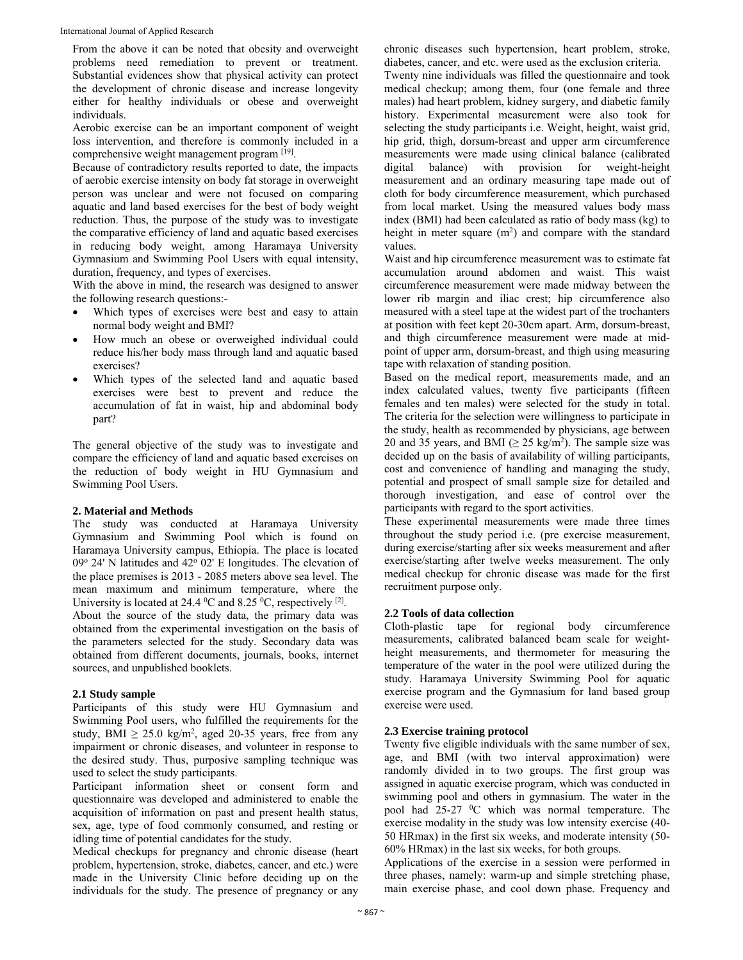From the above it can be noted that obesity and overweight problems need remediation to prevent or treatment. Substantial evidences show that physical activity can protect the development of chronic disease and increase longevity either for healthy individuals or obese and overweight individuals.

Aerobic exercise can be an important component of weight loss intervention, and therefore is commonly included in a comprehensive weight management program [19].

Because of contradictory results reported to date, the impacts of aerobic exercise intensity on body fat storage in overweight person was unclear and were not focused on comparing aquatic and land based exercises for the best of body weight reduction. Thus, the purpose of the study was to investigate the comparative efficiency of land and aquatic based exercises in reducing body weight, among Haramaya University Gymnasium and Swimming Pool Users with equal intensity, duration, frequency, and types of exercises.

With the above in mind, the research was designed to answer the following research questions:-

- Which types of exercises were best and easy to attain normal body weight and BMI?
- How much an obese or overweighed individual could reduce his/her body mass through land and aquatic based exercises?
- Which types of the selected land and aquatic based exercises were best to prevent and reduce the accumulation of fat in waist, hip and abdominal body part?

The general objective of the study was to investigate and compare the efficiency of land and aquatic based exercises on the reduction of body weight in HU Gymnasium and Swimming Pool Users.

#### **2. Material and Methods**

The study was conducted at Haramaya University Gymnasium and Swimming Pool which is found on Haramaya University campus, Ethiopia. The place is located 09° 24' N latitudes and 42° 02' E longitudes. The elevation of the place premises is 2013 - 2085 meters above sea level. The mean maximum and minimum temperature, where the University is located at 24.4  $\rm{^0C}$  and 8.25  $\rm{^0C}$ , respectively  $\rm{^{[2]}}$ .

About the source of the study data, the primary data was obtained from the experimental investigation on the basis of the parameters selected for the study. Secondary data was obtained from different documents, journals, books, internet sources, and unpublished booklets.

#### **2.1 Study sample**

Participants of this study were HU Gymnasium and Swimming Pool users, who fulfilled the requirements for the study, BMI  $\geq 25.0$  kg/m<sup>2</sup>, aged 20-35 years, free from any impairment or chronic diseases, and volunteer in response to the desired study. Thus, purposive sampling technique was used to select the study participants.

Participant information sheet or consent form and questionnaire was developed and administered to enable the acquisition of information on past and present health status, sex, age, type of food commonly consumed, and resting or idling time of potential candidates for the study.

Medical checkups for pregnancy and chronic disease (heart problem, hypertension, stroke, diabetes, cancer, and etc.) were made in the University Clinic before deciding up on the individuals for the study. The presence of pregnancy or any

chronic diseases such hypertension, heart problem, stroke, diabetes, cancer, and etc. were used as the exclusion criteria. Twenty nine individuals was filled the questionnaire and took medical checkup; among them, four (one female and three males) had heart problem, kidney surgery, and diabetic family history. Experimental measurement were also took for selecting the study participants i.e. Weight, height, waist grid, hip grid, thigh, dorsum-breast and upper arm circumference measurements were made using clinical balance (calibrated digital balance) with provision for weight-height measurement and an ordinary measuring tape made out of cloth for body circumference measurement, which purchased from local market. Using the measured values body mass index (BMI) had been calculated as ratio of body mass (kg) to height in meter square  $(m<sup>2</sup>)$  and compare with the standard values.

Waist and hip circumference measurement was to estimate fat accumulation around abdomen and waist. This waist circumference measurement were made midway between the lower rib margin and iliac crest; hip circumference also measured with a steel tape at the widest part of the trochanters at position with feet kept 20-30cm apart. Arm, dorsum-breast, and thigh circumference measurement were made at midpoint of upper arm, dorsum-breast, and thigh using measuring tape with relaxation of standing position.

Based on the medical report, measurements made, and an index calculated values, twenty five participants (fifteen females and ten males) were selected for the study in total. The criteria for the selection were willingness to participate in the study, health as recommended by physicians, age between 20 and 35 years, and BMI ( $\geq$  25 kg/m<sup>2</sup>). The sample size was decided up on the basis of availability of willing participants, cost and convenience of handling and managing the study, potential and prospect of small sample size for detailed and thorough investigation, and ease of control over the participants with regard to the sport activities.

These experimental measurements were made three times throughout the study period i.e. (pre exercise measurement, during exercise/starting after six weeks measurement and after exercise/starting after twelve weeks measurement. The only medical checkup for chronic disease was made for the first recruitment purpose only.

#### **2.2 Tools of data collection**

Cloth-plastic tape for regional body circumference measurements, calibrated balanced beam scale for weightheight measurements, and thermometer for measuring the temperature of the water in the pool were utilized during the study. Haramaya University Swimming Pool for aquatic exercise program and the Gymnasium for land based group exercise were used.

## **2.3 Exercise training protocol**

Twenty five eligible individuals with the same number of sex, age, and BMI (with two interval approximation) were randomly divided in to two groups. The first group was assigned in aquatic exercise program, which was conducted in swimming pool and others in gymnasium. The water in the pool had  $25-27$  <sup>0</sup>C which was normal temperature. The exercise modality in the study was low intensity exercise (40- 50 HRmax) in the first six weeks, and moderate intensity (50- 60% HRmax) in the last six weeks, for both groups.

Applications of the exercise in a session were performed in three phases, namely: warm-up and simple stretching phase, main exercise phase, and cool down phase. Frequency and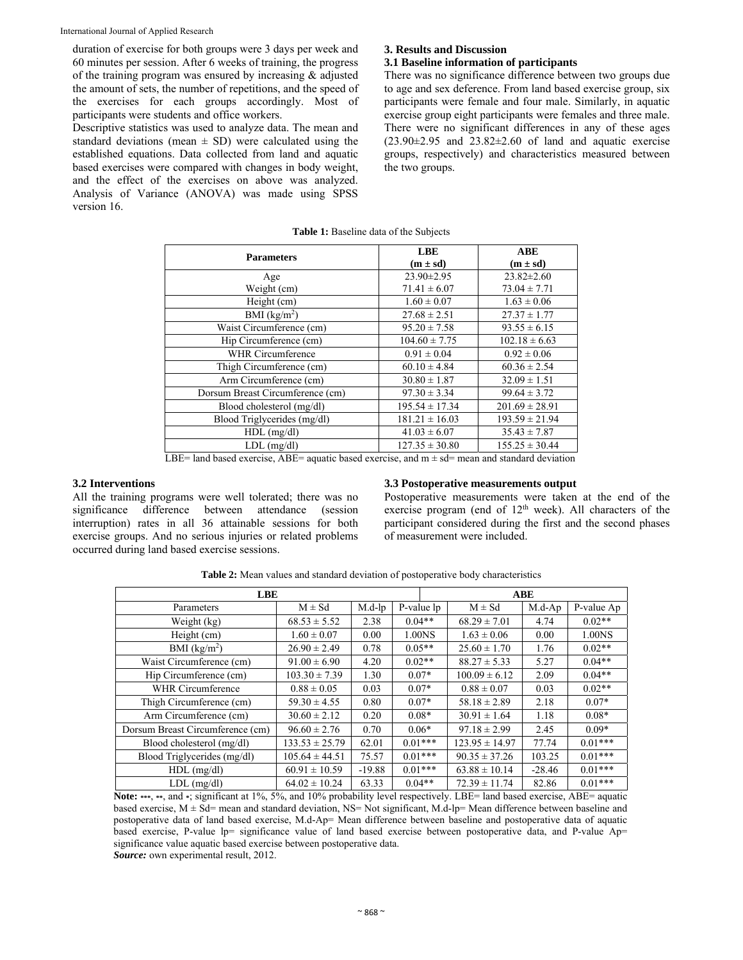duration of exercise for both groups were 3 days per week and 60 minutes per session. After 6 weeks of training, the progress of the training program was ensured by increasing & adjusted the amount of sets, the number of repetitions, and the speed of the exercises for each groups accordingly. Most of participants were students and office workers.

Descriptive statistics was used to analyze data. The mean and standard deviations (mean  $\pm$  SD) were calculated using the established equations. Data collected from land and aquatic based exercises were compared with changes in body weight, and the effect of the exercises on above was analyzed. Analysis of Variance (ANOVA) was made using SPSS version 16.

#### **3. Results and Discussion**

## **3.1 Baseline information of participants**

There was no significance difference between two groups due to age and sex deference. From land based exercise group, six participants were female and four male. Similarly, in aquatic exercise group eight participants were females and three male. There were no significant differences in any of these ages  $(23.90\pm2.95)$  and  $23.82\pm2.60$  of land and aquatic exercise groups, respectively) and characteristics measured between the two groups.

| <b>Parameters</b>                                                                                        | <b>LBE</b><br>$(m \pm sd)$ | <b>ABE</b><br>$(m \pm sd)$ |  |  |  |  |  |
|----------------------------------------------------------------------------------------------------------|----------------------------|----------------------------|--|--|--|--|--|
|                                                                                                          |                            |                            |  |  |  |  |  |
| Age                                                                                                      | $23.90 \pm 2.95$           | $23.82 \pm 2.60$           |  |  |  |  |  |
| Weight (cm)                                                                                              | $71.41 \pm 6.07$           | $73.04 \pm 7.71$           |  |  |  |  |  |
| Height (cm)                                                                                              | $1.60 \pm 0.07$            | $1.63 \pm 0.06$            |  |  |  |  |  |
| BMI $(kg/m2)$                                                                                            | $27.68 \pm 2.51$           | $27.37 \pm 1.77$           |  |  |  |  |  |
| Waist Circumference (cm)                                                                                 | $95.20 \pm 7.58$           | $93.55 \pm 6.15$           |  |  |  |  |  |
| Hip Circumference (cm)                                                                                   | $104.60 \pm 7.75$          | $102.18 \pm 6.63$          |  |  |  |  |  |
| WHR Circumference                                                                                        | $0.91 \pm 0.04$            | $0.92 \pm 0.06$            |  |  |  |  |  |
| Thigh Circumference (cm)                                                                                 | $60.10 \pm 4.84$           | $60.36 \pm 2.54$           |  |  |  |  |  |
| Arm Circumference (cm)                                                                                   | $30.80 \pm 1.87$           | $32.09 \pm 1.51$           |  |  |  |  |  |
| Dorsum Breast Circumference (cm)                                                                         | $97.30 \pm 3.34$           | $99.64 \pm 3.72$           |  |  |  |  |  |
| Blood cholesterol (mg/dl)                                                                                | $195.54 \pm 17.34$         | $201.69 \pm 28.91$         |  |  |  |  |  |
| Blood Triglycerides (mg/dl)                                                                              | $181.21 \pm 16.03$         | $193.59 \pm 21.94$         |  |  |  |  |  |
| $HDL$ (mg/dl)                                                                                            | $41.03 \pm 6.07$           | $35.43 \pm 7.87$           |  |  |  |  |  |
| $LDL$ (mg/dl)                                                                                            | $127.35 \pm 30.80$         | $155.25 \pm 30.44$         |  |  |  |  |  |
| $IRE = 1$ and based exercise. $ARE =$ squatic based exercise, and $m + sd =$ mean and standard deviation |                            |                            |  |  |  |  |  |

**Table 1:** Baseline data of the Subjects

LBE= land based exercise,  $ABE=$  aquatic based exercise, and  $m \pm sd=$  mean and standard deviation

## **3.2 Interventions**

All the training programs were well tolerated; there was no significance difference between attendance (session interruption) rates in all 36 attainable sessions for both exercise groups. And no serious injuries or related problems occurred during land based exercise sessions.

#### **3.3 Postoperative measurements output**

Postoperative measurements were taken at the end of the exercise program (end of 12<sup>th</sup> week). All characters of the participant considered during the first and the second phases of measurement were included.

| <b>Table 2:</b> Mean values and standard deviation of postoperative body characteristics |  |  |  |
|------------------------------------------------------------------------------------------|--|--|--|
|------------------------------------------------------------------------------------------|--|--|--|

| <b>LBE</b>                       |                    |           |            | ABE                |          |            |  |
|----------------------------------|--------------------|-----------|------------|--------------------|----------|------------|--|
| Parameters                       | $M \pm Sd$         | $M.d$ -lp | P-value lp | $M \pm Sd$         | $M.d-Ap$ | P-value Ap |  |
| Weight (kg)                      | $68.53 \pm 5.52$   | 2.38      | $0.04**$   | $68.29 \pm 7.01$   | 4.74     | $0.02**$   |  |
| Height (cm)                      | $1.60 \pm 0.07$    | 0.00      | 1.00NS     | $1.63 \pm 0.06$    | 0.00     | 1.00NS     |  |
| BMI $(kg/m2)$                    | $26.90 \pm 2.49$   | 0.78      | $0.05**$   | $25.60 \pm 1.70$   | 1.76     | $0.02**$   |  |
| Waist Circumference (cm)         | $91.00 \pm 6.90$   | 4.20      | $0.02**$   | $88.27 \pm 5.33$   | 5.27     | $0.04**$   |  |
| Hip Circumference (cm)           | $103.30 \pm 7.39$  | 1.30      | $0.07*$    | $100.09 \pm 6.12$  | 2.09     | $0.04**$   |  |
| WHR Circumference                | $0.88 \pm 0.05$    | 0.03      | $0.07*$    | $0.88 \pm 0.07$    | 0.03     | $0.02**$   |  |
| Thigh Circumference (cm)         | $59.30 \pm 4.55$   | 0.80      | $0.07*$    | $58.18 \pm 2.89$   | 2.18     | $0.07*$    |  |
| Arm Circumference (cm)           | $30.60 \pm 2.12$   | 0.20      | $0.08*$    | $30.91 \pm 1.64$   | 1.18     | $0.08*$    |  |
| Dorsum Breast Circumference (cm) | $96.60 \pm 2.76$   | 0.70      | $0.06*$    | $97.18 \pm 2.99$   | 2.45     | $0.09*$    |  |
| Blood cholesterol (mg/dl)        | $133.53 \pm 25.79$ | 62.01     | $0.01***$  | $123.95 \pm 14.97$ | 77.74    | $0.01***$  |  |
| Blood Triglycerides (mg/dl)      | $105.64 \pm 44.51$ | 75.57     | $0.01***$  | $90.35 \pm 37.26$  | 103.25   | $0.01***$  |  |
| $HDL$ (mg/dl)                    | $60.91 \pm 10.59$  | $-19.88$  | $0.01***$  | $63.88 \pm 10.14$  | $-28.46$ | $0.01***$  |  |
| $LDL$ (mg/dl)                    | $64.02 \pm 10.24$  | 63.33     | $0.04**$   | $72.39 \pm 11.74$  | 82.86    | $0.01***$  |  |

**Note: \*\*\***, **\*\***, and **\***; significant at 1%, 5%, and 10% probability level respectively. LBE= land based exercise, ABE= aquatic based exercise,  $M \pm Sd$  mean and standard deviation, NS Not significant, M.d-lp Mean difference between baseline and postoperative data of land based exercise, M.d-Ap= Mean difference between baseline and postoperative data of aquatic based exercise, P-value lp= significance value of land based exercise between postoperative data, and P-value Ap= significance value aquatic based exercise between postoperative data.

*Source:* own experimental result, 2012.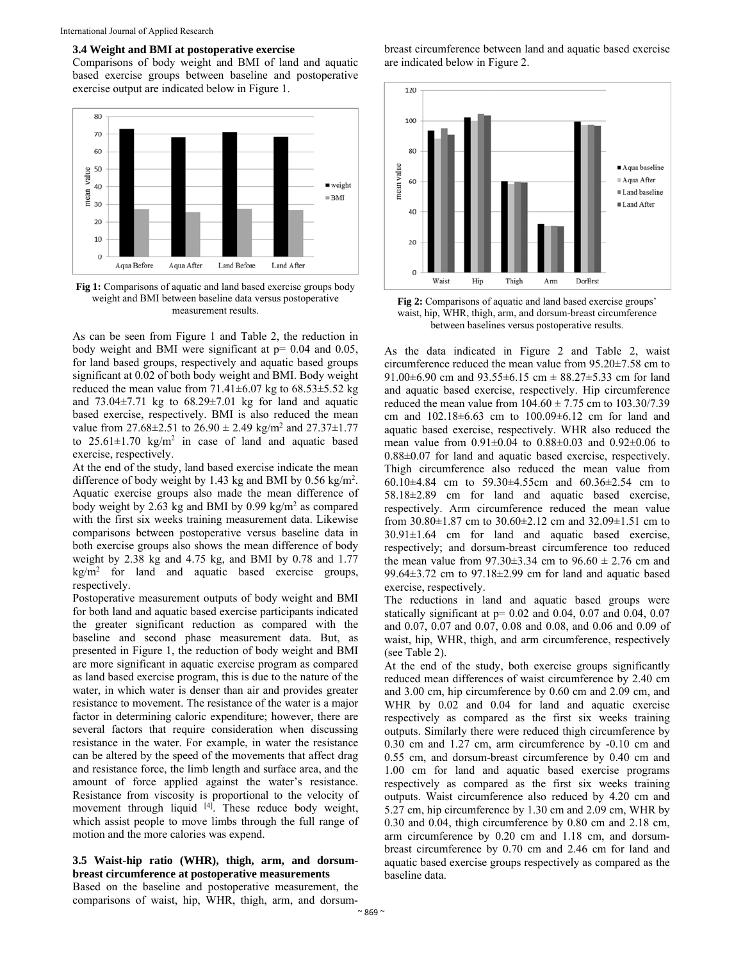#### **3.4 Weight and BMI at postoperative exercise**

Comparisons of body weight and BMI of land and aquatic based exercise groups between baseline and postoperative exercise output are indicated below in Figure 1.



**Fig 1:** Comparisons of aquatic and land based exercise groups body weight and BMI between baseline data versus postoperative measurement results.

As can be seen from Figure 1 and Table 2, the reduction in body weight and BMI were significant at  $p = 0.04$  and 0.05, for land based groups, respectively and aquatic based groups significant at 0.02 of both body weight and BMI. Body weight reduced the mean value from  $71.41\pm6.07$  kg to  $68.53\pm5.52$  kg and  $73.04\pm7.71$  kg to  $68.29\pm7.01$  kg for land and aquatic based exercise, respectively. BMI is also reduced the mean value from  $27.68 \pm 2.51$  to  $26.90 \pm 2.49$  kg/m<sup>2</sup> and  $27.37 \pm 1.77$ to  $25.61 \pm 1.70$  kg/m<sup>2</sup> in case of land and aquatic based exercise, respectively.

At the end of the study, land based exercise indicate the mean difference of body weight by 1.43 kg and BMI by  $0.56 \text{ kg/m}^2$ . Aquatic exercise groups also made the mean difference of body weight by 2.63 kg and BMI by 0.99 kg/ $m<sup>2</sup>$  as compared with the first six weeks training measurement data. Likewise comparisons between postoperative versus baseline data in both exercise groups also shows the mean difference of body weight by 2.38 kg and 4.75 kg, and BMI by 0.78 and 1.77  $\text{kg/m}^2$  for land and aquatic based exercise groups, respectively.

Postoperative measurement outputs of body weight and BMI for both land and aquatic based exercise participants indicated the greater significant reduction as compared with the baseline and second phase measurement data. But, as presented in Figure 1, the reduction of body weight and BMI are more significant in aquatic exercise program as compared as land based exercise program, this is due to the nature of the water, in which water is denser than air and provides greater resistance to movement. The resistance of the water is a major factor in determining caloric expenditure; however, there are several factors that require consideration when discussing resistance in the water. For example, in water the resistance can be altered by the speed of the movements that affect drag and resistance force, the limb length and surface area, and the amount of force applied against the water's resistance. Resistance from viscosity is proportional to the velocity of movement through liquid <sup>[4]</sup>. These reduce body weight, which assist people to move limbs through the full range of motion and the more calories was expend.

## **3.5 Waist-hip ratio (WHR), thigh, arm, and dorsumbreast circumference at postoperative measurements**

Based on the baseline and postoperative measurement, the comparisons of waist, hip, WHR, thigh, arm, and dorsumbreast circumference between land and aquatic based exercise are indicated below in Figure 2.



**Fig 2:** Comparisons of aquatic and land based exercise groups' waist, hip, WHR, thigh, arm, and dorsum-breast circumference between baselines versus postoperative results.

As the data indicated in Figure 2 and Table 2, waist circumference reduced the mean value from 95.20±7.58 cm to 91.00 $\pm$ 6.90 cm and 93.55 $\pm$ 6.15 cm  $\pm$  88.27 $\pm$ 5.33 cm for land and aquatic based exercise, respectively. Hip circumference reduced the mean value from  $104.60 \pm 7.75$  cm to  $103.30/7.39$ cm and 102.18±6.63 cm to 100.09±6.12 cm for land and aquatic based exercise, respectively. WHR also reduced the mean value from 0.91±0.04 to 0.88±0.03 and 0.92±0.06 to 0.88±0.07 for land and aquatic based exercise, respectively. Thigh circumference also reduced the mean value from 60.10±4.84 cm to 59.30±4.55cm and 60.36±2.54 cm to 58.18±2.89 cm for land and aquatic based exercise, respectively. Arm circumference reduced the mean value from 30.80±1.87 cm to 30.60±2.12 cm and 32.09±1.51 cm to 30.91±1.64 cm for land and aquatic based exercise, respectively; and dorsum-breast circumference too reduced the mean value from  $97.30\pm3.34$  cm to  $96.60 \pm 2.76$  cm and 99.64±3.72 cm to 97.18±2.99 cm for land and aquatic based exercise, respectively.

The reductions in land and aquatic based groups were statically significant at  $p= 0.02$  and 0.04, 0.07 and 0.04, 0.07 and 0.07, 0.07 and 0.07, 0.08 and 0.08, and 0.06 and 0.09 of waist, hip, WHR, thigh, and arm circumference, respectively (see Table 2).

At the end of the study, both exercise groups significantly reduced mean differences of waist circumference by 2.40 cm and 3.00 cm, hip circumference by 0.60 cm and 2.09 cm, and WHR by 0.02 and 0.04 for land and aquatic exercise respectively as compared as the first six weeks training outputs. Similarly there were reduced thigh circumference by 0.30 cm and 1.27 cm, arm circumference by -0.10 cm and 0.55 cm, and dorsum-breast circumference by 0.40 cm and 1.00 cm for land and aquatic based exercise programs respectively as compared as the first six weeks training outputs. Waist circumference also reduced by 4.20 cm and 5.27 cm, hip circumference by 1.30 cm and 2.09 cm, WHR by 0.30 and 0.04, thigh circumference by 0.80 cm and 2.18 cm, arm circumference by 0.20 cm and 1.18 cm, and dorsumbreast circumference by 0.70 cm and 2.46 cm for land and aquatic based exercise groups respectively as compared as the baseline data.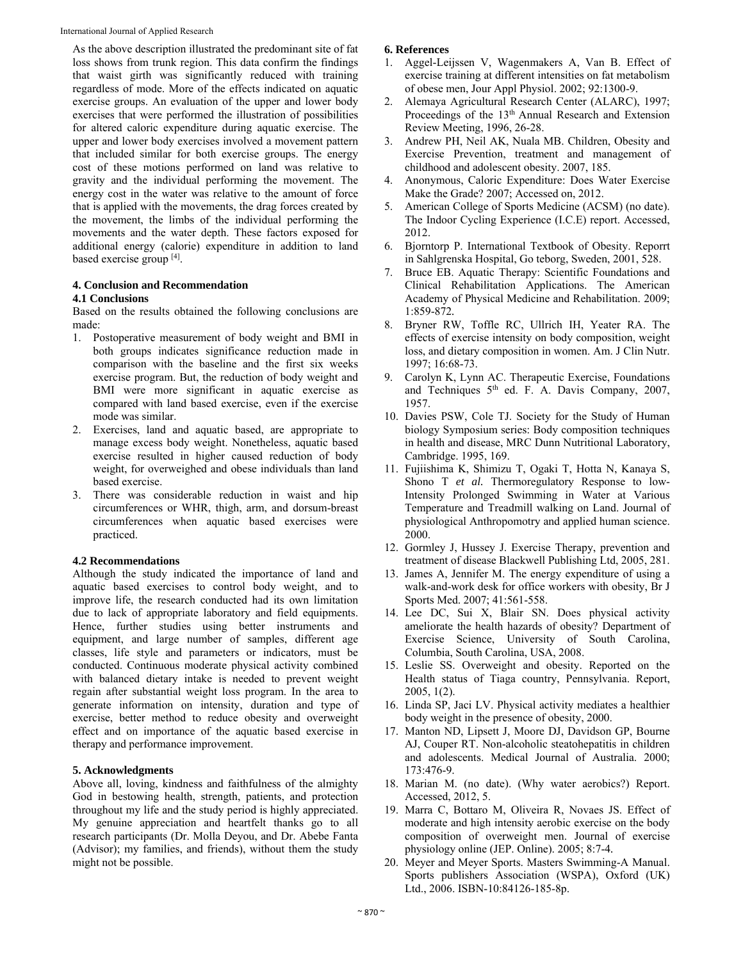As the above description illustrated the predominant site of fat loss shows from trunk region. This data confirm the findings that waist girth was significantly reduced with training regardless of mode. More of the effects indicated on aquatic exercise groups. An evaluation of the upper and lower body exercises that were performed the illustration of possibilities for altered caloric expenditure during aquatic exercise. The upper and lower body exercises involved a movement pattern that included similar for both exercise groups. The energy cost of these motions performed on land was relative to gravity and the individual performing the movement. The energy cost in the water was relative to the amount of force that is applied with the movements, the drag forces created by the movement, the limbs of the individual performing the movements and the water depth. These factors exposed for additional energy (calorie) expenditure in addition to land based exercise group [4].

# **4. Conclusion and Recommendation**

## **4.1 Conclusions**

Based on the results obtained the following conclusions are made:

- 1. Postoperative measurement of body weight and BMI in both groups indicates significance reduction made in comparison with the baseline and the first six weeks exercise program. But, the reduction of body weight and BMI were more significant in aquatic exercise as compared with land based exercise, even if the exercise mode was similar.
- 2. Exercises, land and aquatic based, are appropriate to manage excess body weight. Nonetheless, aquatic based exercise resulted in higher caused reduction of body weight, for overweighed and obese individuals than land based exercise.
- 3. There was considerable reduction in waist and hip circumferences or WHR, thigh, arm, and dorsum-breast circumferences when aquatic based exercises were practiced.

## **4.2 Recommendations**

Although the study indicated the importance of land and aquatic based exercises to control body weight, and to improve life, the research conducted had its own limitation due to lack of appropriate laboratory and field equipments. Hence, further studies using better instruments and equipment, and large number of samples, different age classes, life style and parameters or indicators, must be conducted. Continuous moderate physical activity combined with balanced dietary intake is needed to prevent weight regain after substantial weight loss program. In the area to generate information on intensity, duration and type of exercise, better method to reduce obesity and overweight effect and on importance of the aquatic based exercise in therapy and performance improvement.

## **5. Acknowledgments**

Above all, loving, kindness and faithfulness of the almighty God in bestowing health, strength, patients, and protection throughout my life and the study period is highly appreciated. My genuine appreciation and heartfelt thanks go to all research participants (Dr. Molla Deyou, and Dr. Abebe Fanta (Advisor); my families, and friends), without them the study might not be possible.

## **6. References**

- 1. Aggel-Leijssen V, Wagenmakers A, Van B. Effect of exercise training at different intensities on fat metabolism of obese men, Jour Appl Physiol. 2002; 92:1300-9.
- 2. Alemaya Agricultural Research Center (ALARC), 1997; Proceedings of the 13<sup>th</sup> Annual Research and Extension Review Meeting, 1996, 26-28.
- 3. Andrew PH, Neil AK, Nuala MB. Children, Obesity and Exercise Prevention, treatment and management of childhood and adolescent obesity. 2007, 185.
- 4. Anonymous, Caloric Expenditure: Does Water Exercise Make the Grade? 2007; Accessed on, 2012.
- 5. American College of Sports Medicine (ACSM) (no date). The Indoor Cycling Experience (I.C.E) report. Accessed, 2012.
- 6. Bjorntorp P. International Textbook of Obesity. Reporrt in Sahlgrenska Hospital, Go teborg, Sweden, 2001, 528.
- 7. Bruce EB. Aquatic Therapy: Scientific Foundations and Clinical Rehabilitation Applications. The American Academy of Physical Medicine and Rehabilitation. 2009; 1:859-872*.*
- 8. Bryner RW, Toffle RC, Ullrich IH, Yeater RA. The effects of exercise intensity on body composition, weight loss, and dietary composition in women. Am. J Clin Nutr. 1997; 16:68-73.
- 9. Carolyn K, Lynn AC. Therapeutic Exercise, Foundations and Techniques 5th ed. F. A. Davis Company, 2007, 1957.
- 10. Davies PSW, Cole TJ. Society for the Study of Human biology Symposium series: Body composition techniques in health and disease, MRC Dunn Nutritional Laboratory, Cambridge. 1995, 169.
- 11. Fujiishima K, Shimizu T, Ogaki T, Hotta N, Kanaya S, Shono T *et al.* Thermoregulatory Response to low-Intensity Prolonged Swimming in Water at Various Temperature and Treadmill walking on Land. Journal of physiological Anthropomotry and applied human science. 2000.
- 12. Gormley J, Hussey J. Exercise Therapy, prevention and treatment of disease Blackwell Publishing Ltd, 2005, 281.
- 13. James A, Jennifer M. The energy expenditure of using a walk-and-work desk for office workers with obesity, Br J Sports Med. 2007; 41:561-558.
- 14. Lee DC, Sui X, Blair SN. Does physical activity ameliorate the health hazards of obesity? Department of Exercise Science, University of South Carolina, Columbia, South Carolina, USA, 2008.
- 15. Leslie SS. Overweight and obesity. Reported on the Health status of Tiaga country, Pennsylvania. Report, 2005, 1(2).
- 16. Linda SP, Jaci LV. Physical activity mediates a healthier body weight in the presence of obesity, 2000.
- 17. Manton ND, Lipsett J, Moore DJ, Davidson GP, Bourne AJ, Couper RT. Non-alcoholic steatohepatitis in children and adolescents. Medical Journal of Australia. 2000; 173:476-9.
- 18. Marian M. (no date). (Why water aerobics?) Report. Accessed, 2012, 5.
- 19. Marra C, Bottaro M, Oliveira R, Novaes JS. Effect of moderate and high intensity aerobic exercise on the body composition of overweight men. Journal of exercise physiology online (JEP. Online). 2005; 8:7-4*.*
- 20. Meyer and Meyer Sports. Masters Swimming-A Manual. Sports publishers Association (WSPA), Oxford (UK) Ltd., 2006. ISBN-10:84126-185-8p.